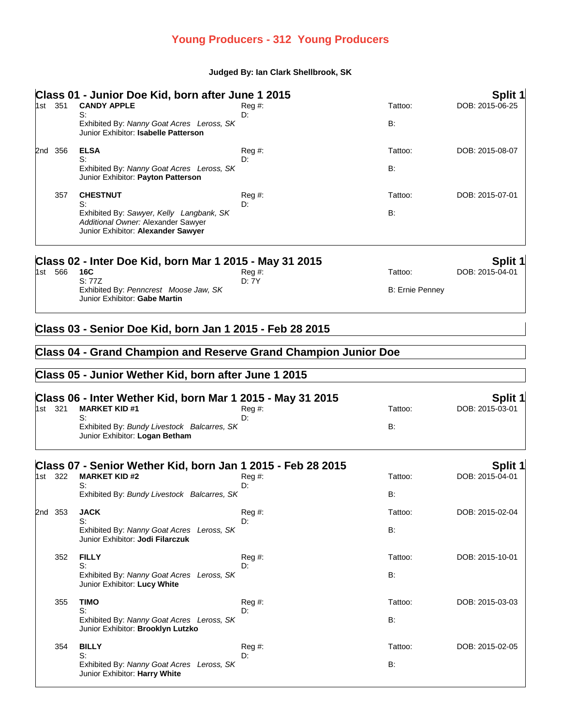## **Young Producers - 312 Young Producers**

## **Judged By: Ian Clark Shellbrook, SK**

|  |         | Class 01 - Junior Doe Kid, born after June 1 2015                                                                    |                 |                        | Split 1         |
|--|---------|----------------------------------------------------------------------------------------------------------------------|-----------------|------------------------|-----------------|
|  | 1st 351 | <b>CANDY APPLE</b>                                                                                                   | $Reg \#$ :      | Tattoo:                | DOB: 2015-06-25 |
|  |         | S:<br>Exhibited By: Nanny Goat Acres Leross, SK                                                                      | D:              | B:                     |                 |
|  |         | Junior Exhibitor: Isabelle Patterson                                                                                 |                 |                        |                 |
|  | 2nd 356 | <b>ELSA</b>                                                                                                          | Reg #:          | Tattoo:                | DOB: 2015-08-07 |
|  |         | S:<br>Exhibited By: Nanny Goat Acres Leross, SK                                                                      | D:              | B:                     |                 |
|  |         | Junior Exhibitor: Payton Patterson                                                                                   |                 |                        |                 |
|  | 357     | <b>CHESTNUT</b><br>S:                                                                                                | Reg#<br>D:      | Tattoo:                | DOB: 2015-07-01 |
|  |         | Exhibited By: Sawyer, Kelly Langbank, SK<br>Additional Owner: Alexander Sawyer<br>Junior Exhibitor: Alexander Sawyer |                 | B:                     |                 |
|  | 1st 566 | Class 02 - Inter Doe Kid, born Mar 1 2015 - May 31 2015                                                              |                 |                        | Split 1         |
|  |         | 16C<br>S: 77Z                                                                                                        | Reg #:<br>D: 7Y | Tattoo:                | DOB: 2015-04-01 |
|  |         | Exhibited By: Penncrest Moose Jaw, SK<br>Junior Exhibitor: Gabe Martin                                               |                 | <b>B: Ernie Penney</b> |                 |
|  |         | Class 04 - Grand Champion and Reserve Grand Champion Junior Doe                                                      |                 |                        |                 |
|  |         | Class 05 - Junior Wether Kid, born after June 1 2015                                                                 |                 |                        |                 |
|  |         | Class 06 - Inter Wether Kid, born Mar 1 2015 - May 31 2015                                                           |                 |                        | <b>Split 1</b>  |
|  | 1st 321 | <b>MARKET KID #1</b><br>S:                                                                                           | Reg #:<br>D:    | Tattoo:                | DOB: 2015-03-01 |
|  |         | Exhibited By: Bundy Livestock Balcarres, SK<br>Junior Exhibitor: Logan Betham                                        |                 | B:                     |                 |
|  |         | Class 07 - Senior Wether Kid, born Jan 1 2015 - Feb 28 2015                                                          |                 |                        | <b>Split 1</b>  |
|  | 1st 322 | <b>MARKET KID #2</b><br>S:                                                                                           | $Reg#$ :<br>D:  | Tattoo:                | DOB: 2015-04-01 |
|  |         | Exhibited By: Bundy Livestock Balcarres, SK                                                                          |                 | B:                     |                 |
|  | 2nd 353 | <b>JACK</b>                                                                                                          | $Reg#$ :        | Tattoo:                | DOB: 2015-02-04 |
|  |         | S:<br>Exhibited By: Nanny Goat Acres Leross, SK<br>Junior Exhibitor: Jodi Filarczuk                                  | D:              | B:                     |                 |
|  | 352     | <b>FILLY</b>                                                                                                         | Reg #:          | Tattoo:                | DOB: 2015-10-01 |
|  |         | S:<br>Exhibited By: Nanny Goat Acres Leross, SK<br>Junior Exhibitor: Lucy White                                      | D:              | B:                     |                 |
|  | 355     | <b>TIMO</b>                                                                                                          | Reg#            | Tattoo:                | DOB: 2015-03-03 |
|  |         | S:<br>Exhibited By: Nanny Goat Acres Leross, SK<br>Junior Exhibitor: Brooklyn Lutzko                                 | D:              | B:                     |                 |
|  | 354     | <b>BILLY</b>                                                                                                         | Reg#            | Tattoo:                | DOB: 2015-02-05 |
|  |         | S:<br>Exhibited By: Nanny Goat Acres Leross, SK<br>Junior Exhibitor: Harry White                                     | D:              | <b>B:</b>              |                 |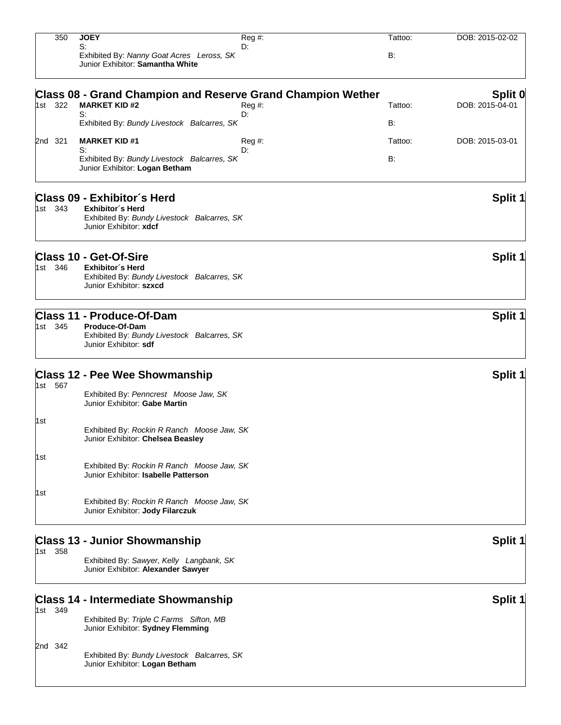| 350     | <b>JOEY</b>                                                                  | $\overline{Reg}$ #:                                                                                                                                                                                 | Tattoo:                                                                                                                                                                                                                                                                                                                                                                                                                                                                                                                                                                                   | DOB: 2015-02-02                                             |
|---------|------------------------------------------------------------------------------|-----------------------------------------------------------------------------------------------------------------------------------------------------------------------------------------------------|-------------------------------------------------------------------------------------------------------------------------------------------------------------------------------------------------------------------------------------------------------------------------------------------------------------------------------------------------------------------------------------------------------------------------------------------------------------------------------------------------------------------------------------------------------------------------------------------|-------------------------------------------------------------|
|         | Junior Exhibitor: Samantha White                                             |                                                                                                                                                                                                     | B:                                                                                                                                                                                                                                                                                                                                                                                                                                                                                                                                                                                        |                                                             |
|         |                                                                              |                                                                                                                                                                                                     |                                                                                                                                                                                                                                                                                                                                                                                                                                                                                                                                                                                           | Split 0                                                     |
| 1st 322 | <b>MARKET KID #2</b>                                                         | Reg #:                                                                                                                                                                                              | Tattoo:                                                                                                                                                                                                                                                                                                                                                                                                                                                                                                                                                                                   | DOB: 2015-04-01                                             |
|         |                                                                              |                                                                                                                                                                                                     | B:                                                                                                                                                                                                                                                                                                                                                                                                                                                                                                                                                                                        |                                                             |
| 2nd 321 | <b>MARKET KID#1</b>                                                          | Reg #:                                                                                                                                                                                              | Tattoo:                                                                                                                                                                                                                                                                                                                                                                                                                                                                                                                                                                                   | DOB: 2015-03-01                                             |
|         | Junior Exhibitor: Logan Betham                                               |                                                                                                                                                                                                     | B:                                                                                                                                                                                                                                                                                                                                                                                                                                                                                                                                                                                        |                                                             |
| 1st 343 | <b>Exhibitor's Herd</b><br>Junior Exhibitor: xdcf                            |                                                                                                                                                                                                     |                                                                                                                                                                                                                                                                                                                                                                                                                                                                                                                                                                                           | Split 1                                                     |
| 1st 346 | <b>Exhibitor's Herd</b><br>Junior Exhibitor: szxcd                           |                                                                                                                                                                                                     |                                                                                                                                                                                                                                                                                                                                                                                                                                                                                                                                                                                           | Split 1                                                     |
| 1st 345 | Produce-Of-Dam<br>Junior Exhibitor: sdf                                      |                                                                                                                                                                                                     |                                                                                                                                                                                                                                                                                                                                                                                                                                                                                                                                                                                           | <b>Split 1</b>                                              |
|         |                                                                              |                                                                                                                                                                                                     |                                                                                                                                                                                                                                                                                                                                                                                                                                                                                                                                                                                           | <b>Split 1</b>                                              |
| 1st 567 | Exhibited By: Penncrest Moose Jaw, SK<br>Junior Exhibitor: Gabe Martin       |                                                                                                                                                                                                     |                                                                                                                                                                                                                                                                                                                                                                                                                                                                                                                                                                                           |                                                             |
|         | Junior Exhibitor: Chelsea Beasley                                            |                                                                                                                                                                                                     |                                                                                                                                                                                                                                                                                                                                                                                                                                                                                                                                                                                           |                                                             |
|         | Junior Exhibitor: Isabelle Patterson                                         |                                                                                                                                                                                                     |                                                                                                                                                                                                                                                                                                                                                                                                                                                                                                                                                                                           |                                                             |
|         | Junior Exhibitor: Jody Filarczuk                                             |                                                                                                                                                                                                     |                                                                                                                                                                                                                                                                                                                                                                                                                                                                                                                                                                                           |                                                             |
| 1st 358 |                                                                              |                                                                                                                                                                                                     |                                                                                                                                                                                                                                                                                                                                                                                                                                                                                                                                                                                           | <b>Split 1</b>                                              |
|         | Junior Exhibitor: Alexander Sawyer                                           |                                                                                                                                                                                                     |                                                                                                                                                                                                                                                                                                                                                                                                                                                                                                                                                                                           |                                                             |
|         |                                                                              |                                                                                                                                                                                                     |                                                                                                                                                                                                                                                                                                                                                                                                                                                                                                                                                                                           | <b>Split 1</b>                                              |
| 1st 349 | Exhibited By: Triple C Farms Sifton, MB<br>Junior Exhibitor: Sydney Flemming |                                                                                                                                                                                                     |                                                                                                                                                                                                                                                                                                                                                                                                                                                                                                                                                                                           |                                                             |
| 2nd 342 | Junior Exhibitor: Logan Betham                                               |                                                                                                                                                                                                     |                                                                                                                                                                                                                                                                                                                                                                                                                                                                                                                                                                                           |                                                             |
|         |                                                                              | S:<br>S:<br>S:<br>Class 09 - Exhibitor's Herd<br><b>Class 10 - Get-Of-Sire</b><br><b>Class 11 - Produce-Of-Dam</b><br><b>Class 12 - Pee Wee Showmanship</b><br><b>Class 13 - Junior Showmanship</b> | D:<br>Exhibited By: Nanny Goat Acres Leross, SK<br>D:<br>Exhibited By: Bundy Livestock Balcarres, SK<br>D:<br>Exhibited By: Bundy Livestock Balcarres, SK<br>Exhibited By: Bundy Livestock Balcarres, SK<br>Exhibited By: Bundy Livestock Balcarres, SK<br>Exhibited By: Bundy Livestock Balcarres, SK<br>Exhibited By: Rockin R Ranch Moose Jaw, SK<br>Exhibited By: Rockin R Ranch Moose Jaw, SK<br>Exhibited By: Rockin R Ranch Moose Jaw, SK<br>Exhibited By: Sawyer, Kelly Langbank, SK<br><b>Class 14 - Intermediate Showmanship</b><br>Exhibited By: Bundy Livestock Balcarres, SK | Class 08 - Grand Champion and Reserve Grand Champion Wether |